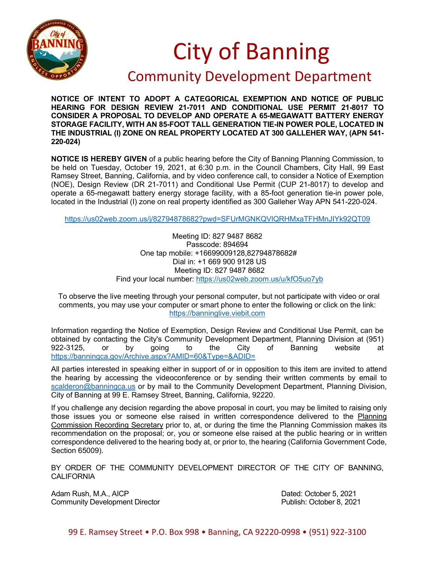

## City of Banning

## Community Development Department

**NOTICE OF INTENT TO ADOPT A CATEGORICAL EXEMPTION AND NOTICE OF PUBLIC HEARING FOR DESIGN REVIEW 21-7011 AND CONDITIONAL USE PERMIT 21-8017 TO CONSIDER A PROPOSAL TO DEVELOP AND OPERATE A 65-MEGAWATT BATTERY ENERGY STORAGE FACILITY, WITH AN 85-FOOT TALL GENERATION TIE-IN POWER POLE, LOCATED IN THE INDUSTRIAL (I) ZONE ON REAL PROPERTY LOCATED AT 300 GALLEHER WAY, (APN 541- 220-024)**

**NOTICE IS HEREBY GIVEN** of a public hearing before the City of Banning Planning Commission, to be held on Tuesday, October 19, 2021, at 6:30 p.m. in the Council Chambers, City Hall, 99 East Ramsey Street, Banning, California, and by video conference call, to consider a Notice of Exemption (NOE), Design Review (DR 21-7011) and Conditional Use Permit (CUP 21-8017) to develop and operate a 65-megawatt battery energy storage facility, with a 85-foot generation tie-in power pole, located in the Industrial (I) zone on real property identified as 300 Galleher Way APN 541-220-024.

<https://us02web.zoom.us/j/82794878682?pwd=SFUrMGNKQVlQRHMxaTFHMnJIYk92QT09>

Meeting ID: 827 9487 8682 Passcode: 894694 One tap mobile: +16699009128,82794878682# Dial in: +1 669 900 9128 US Meeting ID: 827 9487 8682 Find your local number:<https://us02web.zoom.us/u/kfO5uo7yb>

To observe the live meeting through your personal computer, but not participate with video or oral comments, you may use your computer or smart phone to enter the following or click on the link: [https://banninglive.viebit.com](https://banninglive.viebit.com/)

Information regarding the Notice of Exemption, Design Review and Conditional Use Permit, can be obtained by contacting the City's Community Development Department, Planning Division at (951)<br>922-3125, or by going to the City of Banning website at 922-3125, or by going to the City of Banning website at <https://banningca.gov/Archive.aspx?AMID=60&Type=&ADID=>

All parties interested in speaking either in support of or in opposition to this item are invited to attend the hearing by accessing the videoconference or by sending their written comments by email to [scalderon@banningca.us](mailto:scalderon@banningca.us) or by mail to the Community Development Department, Planning Division, City of Banning at 99 E. Ramsey Street, Banning, California, 92220.

If you challenge any decision regarding the above proposal in court, you may be limited to raising only those issues you or someone else raised in written correspondence delivered to the Planning Commission Recording Secretary prior to, at, or during the time the Planning Commission makes its recommendation on the proposal; or, you or someone else raised at the public hearing or in written correspondence delivered to the hearing body at, or prior to, the hearing (California Government Code, Section 65009).

BY ORDER OF THE COMMUNITY DEVELOPMENT DIRECTOR OF THE CITY OF BANNING, **CALIFORNIA** 

Adam Rush, M.A., AICP **Dated: October 5, 2021** Community Development Director **Publish: October 8, 2021**